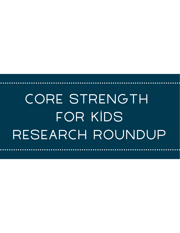# CORE STRENGTH for Kids Research Roundup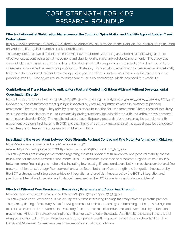# Core Strength for Kids Research Roundup

### **Effects of Abdominal Stabilization Maneuvers on the Control of Spine Motion and Stability Against Sudden Trunk Perturbations**

[https://www.academia.edu/6868178/Effects\\_of\\_abdominal\\_stabilization\\_maneuvers\\_on\\_the\\_control\\_of\\_spine\\_moti](https://www.academia.edu/6868178/Effects_of_abdominal_stabilization_maneuvers_on_the_control_of_spine_motion_and_stability_against_sudden_trunk_perturbations) on\_and\_stability\_against\_sudden\_trunk\_perturbations

This study looked at two different abdominal maneuvers (abdominal bracing and abdominal hollowing) and their effectiveness at controlling spinal movement and stability during rapid unpredictable movements. The study was conducted on adult male subjects and found that abdominal hollowing (drawing the navel upward and toward the spine) was not an effective means for providing trunk stability. Instead, abdominal bracing - described as isometrically tightening the abdominals without any change in the position of the muscles - was the more effective method for providing stability. Bracing was found to foster core muscle co-contraction, which increased trunk stability.

## **Contributions of Trunk Muscles to Anticipatory Postural Control in Children With and Without Developmental Coordination Disorder**

http://krigolson.com/uploads/4/3/8/4/43848243/anticipatory\_postural\_control\_paper\_kane\_\_barden\_2012\_pdf Evidence suggests that movement quality is impacted by postural adjustments made in advance of planned movement. The trunk plays a key role, by creating a stable foundation for limb movement. The purpose of this study was to examine anticipatory trunk muscle activity during functional tasks in children with and without developmental coordination disorder (DCD). The results indicated that anticipatory postural adjustments may be associated with movement problems in children with DCD, and that timing of both proximal and distal muscles should be considered when designing intervention programs for children with DCD.

# **Investigating the Associations between Core Strength, Postural Control and Fine Motor Performance in Children**

#### https://ecommons.udayton.edu/cgi/viewcontent.cgi?

#### [referer=https://www.google.com/&httpsredir=1&article=1041&context=dpt\\_fac\\_pub](https://ecommons.udayton.edu/cgi/viewcontent.cgi?referer=https://www.google.com/&httpsredir=1&article=1041&context=dpt_fac_pub)

This study offers preliminary confirmation regarding the assumption that trunk control and postural stability are the foundation for the development of fine motor skills. The research presented here indicates significant relationships between some fine and gross motor skills, including low, but significant correlations between postural control and fine motor precision. Low, but significant correlations were found between: Core strength and integration (measured by the BOT-2 strength and integration subtests), integration and precision (measured by the BOT-2 integration and precision subtests), and precision and balance (measured by the BOT-2 precision and balance subtests).

#### **Effects of Different Core Exercises on Respiratory Parameters and Abdominal Strength**

#### <https://www.ncbi.nlm.nih.gov/pmc/articles/PMC4668176/pdf/jpts-27-3249.pdf>

This study was conducted on adult male subjects but has interesting findings that may relate to pediatric practice. The primary finding of the study is that focusing on muscular chain stretching and breathing techniques during core exercises can lead to improvement in respiratory function, core muscle endurance, and overall quality of functional movement. Visit the link to see descriptions of the exercises used in the study. Additionally, the study indicates that using vocalizations during core exercises can support proper breathing patterns and core muscle activation. The Functional Movement Screen was used to assess abdominal muscle fitness.